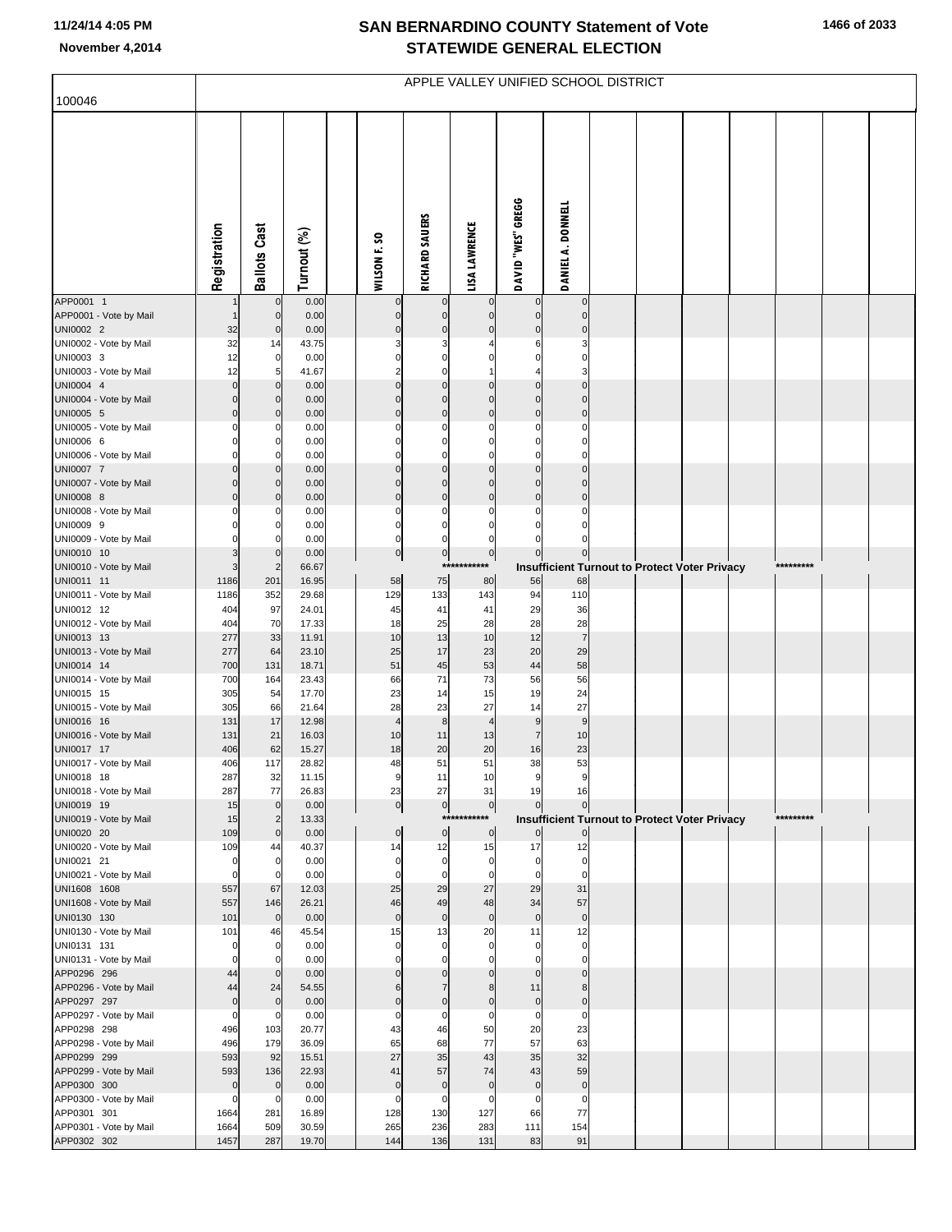## **SAN BERNARDINO COUNTY Statement of Vote November 4,2014 STATEWIDE GENERAL ELECTION**

| 100046                                | APPLE VALLEY UNIFIED SCHOOL DISTRICT  |                               |                |  |                             |                                        |                               |                                |                             |  |  |                                                      |  |           |  |
|---------------------------------------|---------------------------------------|-------------------------------|----------------|--|-----------------------------|----------------------------------------|-------------------------------|--------------------------------|-----------------------------|--|--|------------------------------------------------------|--|-----------|--|
|                                       |                                       |                               |                |  |                             |                                        |                               |                                |                             |  |  |                                                      |  |           |  |
|                                       |                                       |                               |                |  |                             |                                        |                               |                                |                             |  |  |                                                      |  |           |  |
|                                       |                                       |                               |                |  |                             |                                        |                               |                                |                             |  |  |                                                      |  |           |  |
|                                       |                                       |                               |                |  |                             |                                        |                               |                                |                             |  |  |                                                      |  |           |  |
|                                       |                                       |                               |                |  |                             |                                        |                               | DAVID "WES" GREGG              | DANIEL A. DONNELL           |  |  |                                                      |  |           |  |
|                                       | Registration                          | <b>Ballots Cast</b>           |                |  |                             | RICHARD SAUERS                         | <b>LISA LAWRENCE</b>          |                                |                             |  |  |                                                      |  |           |  |
|                                       |                                       |                               | Turnout (%)    |  | WILSON F.SO                 |                                        |                               |                                |                             |  |  |                                                      |  |           |  |
|                                       |                                       |                               |                |  |                             |                                        |                               |                                |                             |  |  |                                                      |  |           |  |
| APP0001 1                             |                                       | $\overline{0}$                | 0.00           |  | 0                           | 0                                      | 0                             | 0                              | $\bf{0}$                    |  |  |                                                      |  |           |  |
| APP0001 - Vote by Mail<br>UNI0002 2   | 1<br>32                               | $\mathbf 0$<br>$\mathbf 0$    | 0.00<br>0.00   |  | $\overline{0}$<br>$\pmb{0}$ | $\overline{0}$<br>$\overline{0}$       | $\overline{0}$<br>$\pmb{0}$   | $\overline{0}$<br>$\mathbf{0}$ | $\mathbf 0$<br>$\mathbf 0$  |  |  |                                                      |  |           |  |
| UNI0002 - Vote by Mail                | 32                                    | 14                            | 43.75          |  | 3                           | $\overline{\mathbf{3}}$<br>$\mathbf 0$ | 4<br>$\mathbf 0$              | 6<br>$\mathbf 0$               | 3                           |  |  |                                                      |  |           |  |
| UNI0003 3<br>UNI0003 - Vote by Mail   | 12<br>12                              | $\overline{0}$<br>5           | 0.00<br>41.67  |  | $\pmb{0}$<br>$\overline{2}$ | $\mathbf 0$                            | $\mathbf{1}$                  | 4                              | $\mathbf 0$<br>3            |  |  |                                                      |  |           |  |
| UNI0004 4<br>UNI0004 - Vote by Mail   | $\mathsf{O}\xspace$<br>$\overline{0}$ | $\mathbf 0$<br>$\Omega$       | 0.00<br>0.00   |  | $\mathbf 0$<br>$\mathbf 0$  | $\overline{0}$<br>$\mathbf 0$          | $\pmb{0}$<br>$\mathbf 0$      | $\pmb{0}$<br>$\mathbf 0$       | $\mathbf 0$<br>$\mathbf{0}$ |  |  |                                                      |  |           |  |
| UNI0005 5                             | $\mathbf 0$                           | $\Omega$                      | 0.00           |  | $\mathbf 0$                 | $\mathbf 0$                            | $\mathbf{0}$                  | $\mathbf{0}$                   | $\pmb{0}$                   |  |  |                                                      |  |           |  |
| UNI0005 - Vote by Mail<br>UNI0006 6   | 0<br>0                                | $\Omega$<br>$\mathbf 0$       | 0.00<br>0.00   |  | $\mathbf 0$<br>$\pmb{0}$    | $\mathbf 0$<br>$\mathbf 0$             | 0<br>$\bf{0}$                 | 0<br>0                         | $\Omega$<br>$\mathbf 0$     |  |  |                                                      |  |           |  |
| UNI0006 - Vote by Mail                | $\Omega$                              | $\Omega$                      | 0.00           |  | $\mathbf 0$                 | $\mathbf 0$                            | $\mathbf 0$                   | $\mathbf 0$                    | $\Omega$                    |  |  |                                                      |  |           |  |
| UNI0007 7<br>UNI0007 - Vote by Mail   | $\mathbf 0$<br>$\mathbf 0$            | $\mathbf 0$<br>$\Omega$       | 0.00<br>0.00   |  | $\pmb{0}$<br>$\pmb{0}$      | $\mathbf 0$<br>$\mathbf 0$             | $\mathbf{0}$<br>$\mathbf 0$   | $\pmb{0}$<br>$\mathbf 0$       | $\mathbf 0$<br>$\mathbf{0}$ |  |  |                                                      |  |           |  |
| UNI0008 8                             | $\Omega$                              | $\Omega$                      | 0.00           |  | $\mathbf 0$                 | $\mathbf 0$                            | $\mathbf{0}$                  | $\pmb{0}$                      | $\mathbf 0$                 |  |  |                                                      |  |           |  |
| UNI0008 - Vote by Mail<br>UNI0009 9   |                                       | O<br>$\mathbf 0$              | 0.00<br>0.00   |  | $\mathbf 0$<br>$\mathbf{0}$ | $\mathbf 0$<br>$\mathbf{0}$            | $\bf{0}$<br>$\pmb{0}$         | 0<br>$\mathbf 0$               | $\Omega$<br>$\Omega$        |  |  |                                                      |  |           |  |
| UNI0009 - Vote by Mail                | $\Omega$                              | $\Omega$                      | 0.00           |  | $\mathbf 0$                 | $\mathbf 0$                            | $\mathbf 0$                   | $\Omega$                       | $\Omega$                    |  |  |                                                      |  |           |  |
| UNI0010 10<br>UNI0010 - Vote by Mail  | 3<br>3                                | $\mathbf 0$<br>$\overline{2}$ | 0.00<br>66.67  |  | 0                           | $\overline{0}$<br>$***$                | $\circ$<br>****               | $\overline{0}$                 | 0                           |  |  | <b>Insufficient Turnout to Protect Voter Privacy</b> |  | ********* |  |
| UNI0011 11                            | 1186                                  | 201                           | 16.95          |  | 58                          | 75                                     | 80                            | 56                             | 68<br>110                   |  |  |                                                      |  |           |  |
| UNI0011 - Vote by Mail<br>UNI0012 12  | 1186<br>404                           | 352<br>97                     | 29.68<br>24.01 |  | 129<br>45                   | 133<br>41                              | 143<br>41                     | 94<br>29                       | 36                          |  |  |                                                      |  |           |  |
| UNI0012 - Vote by Mail<br>UNI0013 13  | 404<br>277                            | 70<br>33                      | 17.33<br>11.91 |  | 18<br>10                    | 25<br>13                               | 28<br>10                      | 28<br>12                       | 28<br>$\overline{7}$        |  |  |                                                      |  |           |  |
| UNI0013 - Vote by Mail                | 277                                   | 64                            | 23.10          |  | 25                          | 17                                     | 23                            | 20                             | 29                          |  |  |                                                      |  |           |  |
| UNI0014 14<br>UNI0014 - Vote by Mail  | 700<br>700                            | 131<br>164                    | 18.71<br>23.43 |  | 51<br>66                    | 45<br>71                               | 53<br>73                      | 44<br>56                       | 58<br>56                    |  |  |                                                      |  |           |  |
| UNI0015 15                            | 305                                   | 54                            | 17.70          |  | 23                          | 14                                     | 15                            | 19                             | 24                          |  |  |                                                      |  |           |  |
| UNI0015 - Vote by Mail<br>UNI0016 16  | 305<br>131                            | 66<br>17                      | 21.64<br>12.98 |  | 28<br>$\overline{4}$        | 23<br>$\bf8$                           | 27<br>$\overline{\mathbf{4}}$ | 14<br>9                        | 27<br>$\boldsymbol{9}$      |  |  |                                                      |  |           |  |
| UNI0016 - Vote by Mail                | 131                                   | 21                            | 16.03          |  | 10                          | 11                                     | 13                            | $\overline{7}$                 | 10                          |  |  |                                                      |  |           |  |
| UNI0017 17<br>UNI0017 - Vote by Mail  | 406<br>406                            | 62<br>117                     | 15.27<br>28.82 |  | 18<br>48                    | 20<br>51                               | 20<br>51                      | 16<br>38                       | 23<br>53                    |  |  |                                                      |  |           |  |
| UNI0018 18<br>UNI0018 - Vote by Mail  | 287                                   | 32                            | 11.15          |  |                             |                                        | 10                            |                                | 16                          |  |  |                                                      |  |           |  |
| UNI0019 19                            | 287<br>15                             | 77<br>$\mathbf{0}$            | 26.83<br>0.00  |  | 23<br> 0                    | 27<br>$\overline{0}$                   | 31<br>$\overline{0}$          | 19<br>$\Omega$                 | $\Omega$                    |  |  |                                                      |  |           |  |
| UNI0019 - Vote by Mail<br>UNI0020 20  | 15<br>109                             | $\overline{2}$<br>$\mathbf 0$ | 13.33<br>0.00  |  | $\overline{0}$              | $***$<br>$\overline{0}$                | *****<br>$\overline{0}$       | $\overline{0}$                 | $\pmb{0}$                   |  |  | <b>Insufficient Turnout to Protect Voter Privacy</b> |  | ********* |  |
| UNI0020 - Vote by Mail                | 109                                   | 44                            | 40.37          |  | 14                          | 12                                     | 15                            | 17                             | 12                          |  |  |                                                      |  |           |  |
| UNI0021 21<br>UNI0021 - Vote by Mail  | 0<br>$\Omega$                         | $\overline{0}$<br>$\Omega$    | 0.00<br>0.00   |  | $\pmb{0}$<br>$\mathbf 0$    | $\overline{0}$<br>$\mathbf{0}$         | $\bf{0}$<br>$\overline{0}$    | 0<br>$\mathbf 0$               | $\mathbf 0$<br>$\mathbf 0$  |  |  |                                                      |  |           |  |
| UNI1608 1608                          | 557                                   | 67                            | 12.03          |  | 25                          | 29                                     | 27                            | 29                             | 31                          |  |  |                                                      |  |           |  |
| UNI1608 - Vote by Mail<br>UNI0130 130 | 557<br>101                            | 146<br>$\overline{0}$         | 26.21<br>0.00  |  | 46<br>$\pmb{0}$             | 49<br>$\overline{0}$                   | 48<br>$\mathbf 0$             | 34<br>$\pmb{0}$                | 57<br>$\mathbf 0$           |  |  |                                                      |  |           |  |
| UNI0130 - Vote by Mail                | 101                                   | 46                            | 45.54          |  | 15                          | 13                                     | 20                            | 11                             | 12                          |  |  |                                                      |  |           |  |
| UNI0131 131<br>UNI0131 - Vote by Mail | $\Omega$                              | $\mathbf 0$<br>$\Omega$       | 0.00<br>0.00   |  | $\mathbf 0$<br>$\mathbf 0$  | $\pmb{0}$<br>$\mathbf 0$               | 0<br>$\mathbf 0$              | $\mathbf 0$<br>$\mathbf 0$     | $\pmb{0}$<br>$\mathbf 0$    |  |  |                                                      |  |           |  |
| APP0296 296                           | 44<br>44                              | $\mathbf 0$                   | 0.00           |  | $\mathbf 0$<br>6            | $\overline{0}$<br>$\overline{7}$       | $\bf 0$<br>8                  | $\mathbf 0$<br>11              | $\mathbf 0$<br>8            |  |  |                                                      |  |           |  |
| APP0296 - Vote by Mail<br>APP0297 297 | $\mathbf 0$                           | 24<br>$\mathbf 0$             | 54.55<br>0.00  |  | $\pmb{0}$                   | $\pmb{0}$                              | $\pmb{0}$                     | $\overline{0}$                 | $\pmb{0}$                   |  |  |                                                      |  |           |  |
| APP0297 - Vote by Mail<br>APP0298 298 | 0<br>496                              | $\mathbf 0$<br>103            | 0.00<br>20.77  |  | $\mathbf 0$<br>43           | $\mathbf 0$<br>46                      | 0<br>50                       | 0<br>20                        | $\mathbf 0$<br>23           |  |  |                                                      |  |           |  |
| APP0298 - Vote by Mail                | 496                                   | 179                           | 36.09          |  | 65                          | 68                                     | 77                            | 57                             | 63                          |  |  |                                                      |  |           |  |
| APP0299 299<br>APP0299 - Vote by Mail | 593<br>593                            | 92<br>136                     | 15.51<br>22.93 |  | 27<br>41                    | 35<br>57                               | 43<br>74                      | 35<br>43                       | 32<br>59                    |  |  |                                                      |  |           |  |
| APP0300 300                           | 0                                     | $\mathbf 0$                   | 0.00           |  | $\pmb{0}$                   | $\pmb{0}$                              | $\mathbf 0$                   | $\bf 0$                        | $\pmb{0}$                   |  |  |                                                      |  |           |  |
| APP0300 - Vote by Mail<br>APP0301 301 | 0<br>1664                             | $\mathbf 0$<br>281            | 0.00<br>16.89  |  | 0<br>128                    | $\mathbf 0$<br>130                     | 0<br>127                      | 0<br>66                        | 0<br>77                     |  |  |                                                      |  |           |  |
| APP0301 - Vote by Mail                | 1664                                  | 509                           | 30.59          |  | 265                         | 236                                    | 283                           | 111                            | 154                         |  |  |                                                      |  |           |  |
| APP0302 302                           | 1457                                  | 287                           | 19.70          |  | 144                         | 136                                    | 131                           | 83                             | 91                          |  |  |                                                      |  |           |  |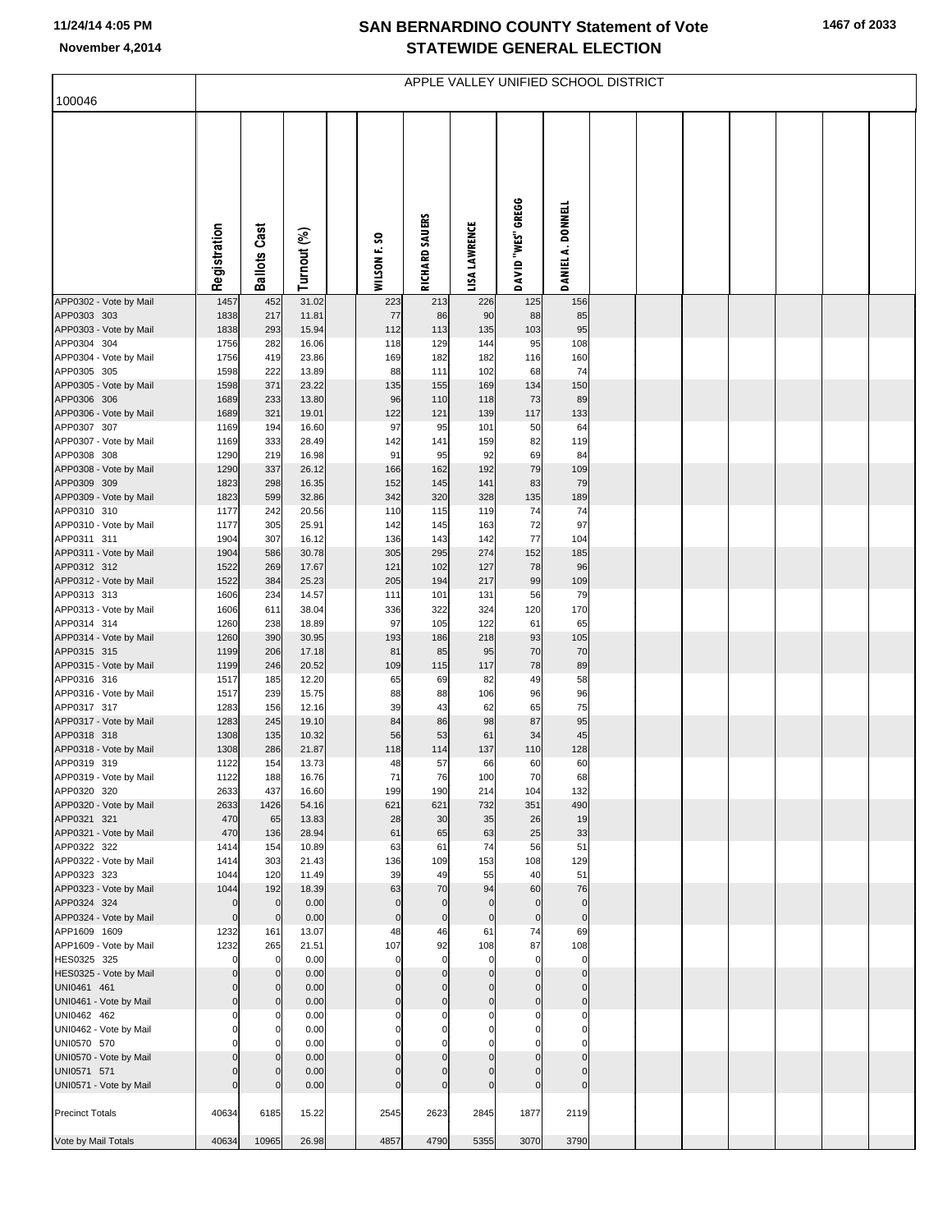## **SAN BERNARDINO COUNTY Statement of Vote November 4,2014 STATEWIDE GENERAL ELECTION**

| 100046                                | APPLE VALLEY UNIFIED SCHOOL DISTRICT |                            |                |  |                             |                            |                                  |                               |                             |  |  |  |  |  |  |
|---------------------------------------|--------------------------------------|----------------------------|----------------|--|-----------------------------|----------------------------|----------------------------------|-------------------------------|-----------------------------|--|--|--|--|--|--|
|                                       |                                      |                            |                |  |                             |                            |                                  |                               |                             |  |  |  |  |  |  |
|                                       | Registration                         | <b>Ballots Cast</b>        | Turnout (%)    |  | WILSON F. SO                | RICHARD SAUERS             | LISA LAWRENCE                    | DAVID "WES" GREGG             | DANIEL A. DONNELL           |  |  |  |  |  |  |
| APP0302 - Vote by Mail                | 1457                                 | 452                        | 31.02          |  | 223                         | 213                        | 226                              | 125                           | 156                         |  |  |  |  |  |  |
| APP0303 303<br>APP0303 - Vote by Mail | 1838<br>1838                         | 217<br>293                 | 11.81<br>15.94 |  | 77<br>112                   | 86<br>113                  | 90<br>135                        | 88<br>103                     | 85<br>95                    |  |  |  |  |  |  |
| APP0304 304                           | 1756                                 | 282                        | 16.06          |  | 118                         | 129                        | 144                              | 95                            | 108                         |  |  |  |  |  |  |
| APP0304 - Vote by Mail<br>APP0305 305 | 1756<br>1598                         | 419<br>222                 | 23.86<br>13.89 |  | 169<br>88                   | 182<br>111                 | 182<br>102                       | 116<br>68                     | 160<br>74                   |  |  |  |  |  |  |
| APP0305 - Vote by Mail                | 1598                                 | 371                        | 23.22          |  | 135                         | 155                        | 169                              | 134                           | 150                         |  |  |  |  |  |  |
| APP0306 306                           | 1689                                 | 233                        | 13.80          |  | 96                          | 110                        | 118                              | 73                            | 89                          |  |  |  |  |  |  |
| APP0306 - Vote by Mail<br>APP0307 307 | 1689<br>1169                         | 321<br>194                 | 19.01<br>16.60 |  | 122<br>97                   | 121<br>95                  | 139<br>101                       | 117<br>50                     | 133<br>64                   |  |  |  |  |  |  |
| APP0307 - Vote by Mail                | 1169                                 | 333                        | 28.49          |  | 142                         | 141                        | 159                              | 82                            | 119                         |  |  |  |  |  |  |
| APP0308 308                           | 1290                                 | 219                        | 16.98          |  | 91                          | 95                         | 92                               | 69                            | 84                          |  |  |  |  |  |  |
| APP0308 - Vote by Mail<br>APP0309 309 | 1290<br>1823                         | 337<br>298                 | 26.12<br>16.35 |  | 166<br>152                  | 162<br>145                 | 192<br>141                       | 79<br>83                      | 109<br>79                   |  |  |  |  |  |  |
| APP0309 - Vote by Mail                | 1823                                 | 599                        | 32.86          |  | 342                         | 320                        | 328                              | 135                           | 189                         |  |  |  |  |  |  |
| APP0310 310                           | 1177                                 | 242                        | 20.56          |  | 110                         | 115                        | 119                              | 74                            | 74                          |  |  |  |  |  |  |
| APP0310 - Vote by Mail<br>APP0311 311 | 1177<br>1904                         | 305<br>307                 | 25.91<br>16.12 |  | 142<br>136                  | 145<br>143                 | 163<br>142                       | 72<br>77                      | 97<br>104                   |  |  |  |  |  |  |
| APP0311 - Vote by Mail                | 1904                                 | 586                        | 30.78          |  | 305                         | 295                        | 274                              | 152                           | 185                         |  |  |  |  |  |  |
| APP0312 312                           | 1522                                 | 269                        | 17.67          |  | 121                         | 102                        | 127                              | 78                            | 96                          |  |  |  |  |  |  |
| APP0312 - Vote by Mail<br>APP0313 313 | 1522<br>1606                         | 384<br>234                 | 25.23<br>14.57 |  | 205<br>111                  | 194<br>101                 | 217<br>131                       | 99<br>56                      | 109<br>79                   |  |  |  |  |  |  |
| APP0313 - Vote by Mail                | 1606                                 | 611                        | 38.04          |  | 336                         | 322                        | 324                              | 120                           | 170                         |  |  |  |  |  |  |
| APP0314 314                           | 1260                                 | 238                        | 18.89          |  | 97                          | 105                        | 122                              | 61                            | 65                          |  |  |  |  |  |  |
| APP0314 - Vote by Mail<br>APP0315 315 | 1260<br>1199                         | 390<br>206                 | 30.95<br>17.18 |  | 193<br>81                   | 186<br>85                  | 218<br>95                        | 93<br>70                      | 105<br>70                   |  |  |  |  |  |  |
| APP0315 - Vote by Mail                | 1199                                 | 246                        | 20.52          |  | 109                         | 115                        | 117                              | 78                            | 89                          |  |  |  |  |  |  |
| APP0316 316<br>APP0316 - Vote by Mail | 1517<br>1517                         | 185<br>239                 | 12.20<br>15.75 |  | 65<br>88                    | 69<br>88                   | 82<br>106                        | 49<br>96                      | 58<br>96                    |  |  |  |  |  |  |
| APP0317 317                           | 1283                                 | 156                        | 12.16          |  | 39                          | 43                         | 62                               | 65                            | 75                          |  |  |  |  |  |  |
| APP0317 - Vote by Mail                | 1283                                 | 245                        | 19.10          |  | 84                          | 86                         | 98                               | 87                            | 95                          |  |  |  |  |  |  |
| APP0318 318<br>APP0318 - Vote by Mail | 1308<br>1308                         | 135<br>286                 | 10.32<br>21.87 |  | 56<br>118                   | 53<br>114                  | 61<br>137                        | 34<br>110                     | 45<br>128                   |  |  |  |  |  |  |
| APP0319 319                           | 1122                                 | 154                        | 13.73          |  | 48                          | 57                         | 66                               | 60                            | 60                          |  |  |  |  |  |  |
| APP0319 - Vote by Mail                | 1122                                 | 188                        | 16.76          |  | 71                          | 76                         | 100                              | 70                            | 68                          |  |  |  |  |  |  |
| APP0320 320<br>APP0320 - Vote by Mail | 2633<br>2633                         | 437<br>1426                | 16.60<br>54.16 |  | 199<br>621                  | 190<br>621                 | 214<br>732                       | 104<br>351                    | 132<br>490                  |  |  |  |  |  |  |
| APP0321 321                           | 470                                  | 65                         | 13.83          |  | 28                          | 30                         | 35                               | 26                            | 19                          |  |  |  |  |  |  |
| APP0321 - Vote by Mail                | 470                                  | 136                        | 28.94          |  | 61                          | 65                         | 63                               | 25                            | 33                          |  |  |  |  |  |  |
| APP0322 322<br>APP0322 - Vote by Mail | 1414<br>1414                         | 154<br>303                 | 10.89<br>21.43 |  | 63<br>136                   | 61<br>109                  | 74<br>153                        | 56<br>108                     | 51<br>129                   |  |  |  |  |  |  |
| APP0323 323                           | 1044                                 | 120                        | 11.49          |  | 39                          | 49                         | 55                               | 40                            | 51                          |  |  |  |  |  |  |
| APP0323 - Vote by Mail                | 1044                                 | 192                        | 18.39          |  | 63                          | 70                         | 94                               | 60                            | 76                          |  |  |  |  |  |  |
| APP0324 324<br>APP0324 - Vote by Mail | $\mathbf 0$<br>$\mathbf 0$           | $\mathbf 0$<br>$\mathbf 0$ | 0.00<br>0.00   |  | $\mathbf{0}$<br>$\mathbf 0$ | $\mathbf 0$<br>$\mathbf 0$ | $\overline{0}$<br>$\overline{0}$ | $\overline{0}$<br>$\mathbf 0$ | $\mathbf{0}$<br>$\mathbf 0$ |  |  |  |  |  |  |
| APP1609 1609                          | 1232                                 | 161                        | 13.07          |  | 48                          | 46                         | 61                               | 74                            | 69                          |  |  |  |  |  |  |
| APP1609 - Vote by Mail                | 1232                                 | 265                        | 21.51          |  | 107                         | 92                         | 108                              | 87                            | 108                         |  |  |  |  |  |  |
| HES0325 325<br>HES0325 - Vote by Mail | $\mathbf 0$<br>$\Omega$              | 0<br>$\mathbf 0$           | 0.00<br>0.00   |  | $\mathbf 0$<br>$\mathbf{0}$ | $\mathbf 0$<br>$\mathbf 0$ | $\mathbf 0$<br>$\Omega$          | $\mathbf 0$<br>$\overline{0}$ | $\mathbf 0$<br>$\mathbf 0$  |  |  |  |  |  |  |
| UNI0461 461                           | $\Omega$                             | $\mathbf 0$                | 0.00           |  | $\mathbf{0}$                | $\Omega$                   | $\Omega$                         | $\mathbf{0}$                  | $\mathbf 0$                 |  |  |  |  |  |  |
| UNI0461 - Vote by Mail                | $\mathbf 0$                          | $\mathbf 0$                | 0.00           |  | $\Omega$                    | $\mathbf 0$                | $\overline{0}$                   | $\mathbf 0$                   | $\mathbf 0$                 |  |  |  |  |  |  |
| UNI0462 462<br>UNI0462 - Vote by Mail | $\Omega$<br>$\Omega$                 | $\Omega$<br>$\mathbf 0$    | 0.00<br>0.00   |  | $\Omega$<br>$\Omega$        | $\Omega$<br>$\Omega$       | $\mathbf 0$<br>$\mathbf 0$       | 0<br>0                        | $\Omega$<br>$\Omega$        |  |  |  |  |  |  |
| UNI0570 570                           | C                                    | $\Omega$                   | 0.00           |  |                             |                            |                                  |                               |                             |  |  |  |  |  |  |
| UNI0570 - Vote by Mail                | $\Omega$<br>$\Omega$                 | $\mathbf 0$<br>$\mathbf 0$ | 0.00           |  | $\Omega$<br>$\Omega$        | $\Omega$<br>$\Omega$       | $\Omega$<br>$\mathbf{0}$         | $\mathbf 0$<br>$\Omega$       | $\Omega$<br>$\Omega$        |  |  |  |  |  |  |
| UNI0571 571<br>UNI0571 - Vote by Mail | $\Omega$                             | $\Omega$                   | 0.00<br>0.00   |  | $\Omega$                    | $\Omega$                   | $\mathbf{0}$                     | $\Omega$                      | $\Omega$                    |  |  |  |  |  |  |
| <b>Precinct Totals</b>                | 40634                                | 6185                       | 15.22          |  | 2545                        | 2623                       | 2845                             | 1877                          | 2119                        |  |  |  |  |  |  |
| Vote by Mail Totals                   | 40634                                | 10965                      | 26.98          |  | 4857                        | 4790                       | 5355                             | 3070                          | 3790                        |  |  |  |  |  |  |